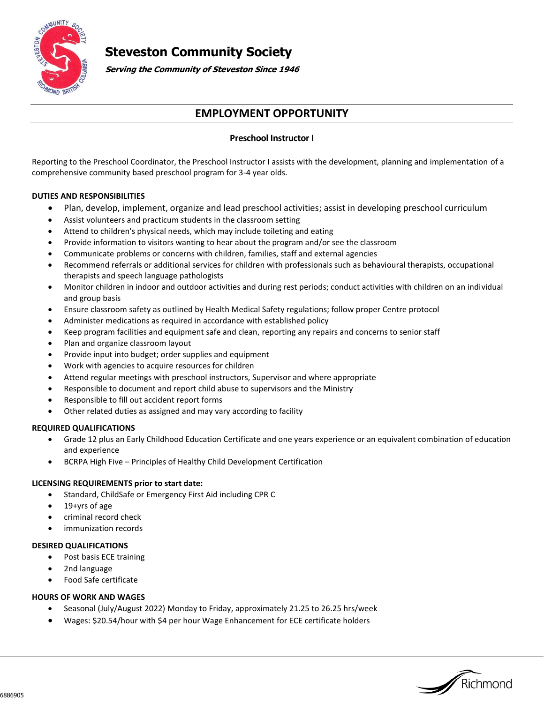

# **Steveston Community Society**

**Serving the Community of Steveston Since 1946**

## **EMPLOYMENT OPPORTUNITY**

### **Preschool Instructor I**

Reporting to the Preschool Coordinator, the Preschool Instructor I assists with the development, planning and implementation of a comprehensive community based preschool program for 3-4 year olds.

#### **DUTIES AND RESPONSIBILITIES**

- Plan, develop, implement, organize and lead preschool activities; assist in developing preschool curriculum
- Assist volunteers and practicum students in the classroom setting
- Attend to children's physical needs, which may include toileting and eating
- Provide information to visitors wanting to hear about the program and/or see the classroom
- Communicate problems or concerns with children, families, staff and external agencies
- Recommend referrals or additional services for children with professionals such as behavioural therapists, occupational therapists and speech language pathologists
- Monitor children in indoor and outdoor activities and during rest periods; conduct activities with children on an individual and group basis
- Ensure classroom safety as outlined by Health Medical Safety regulations; follow proper Centre protocol
- Administer medications as required in accordance with established policy
- Keep program facilities and equipment safe and clean, reporting any repairs and concerns to senior staff
- Plan and organize classroom layout
- Provide input into budget; order supplies and equipment
- Work with agencies to acquire resources for children
- Attend regular meetings with preschool instructors, Supervisor and where appropriate
- Responsible to document and report child abuse to supervisors and the Ministry
- Responsible to fill out accident report forms
- Other related duties as assigned and may vary according to facility

#### **REQUIRED QUALIFICATIONS**

- Grade 12 plus an Early Childhood Education Certificate and one years experience or an equivalent combination of education and experience
- BCRPA High Five Principles of Healthy Child Development Certification

#### **LICENSING REQUIREMENTS prior to start date:**

- Standard, ChildSafe or Emergency First Aid including CPR C
- 19+yrs of age
- criminal record check
- immunization records

#### **DESIRED QUALIFICATIONS**

- Post basis ECE training
- 2nd language
- Food Safe certificate

#### **HOURS OF WORK AND WAGES**

- Seasonal (July/August 2022) Monday to Friday, approximately 21.25 to 26.25 hrs/week
- Wages: \$20.54/hour with \$4 per hour Wage Enhancement for ECE certificate holders